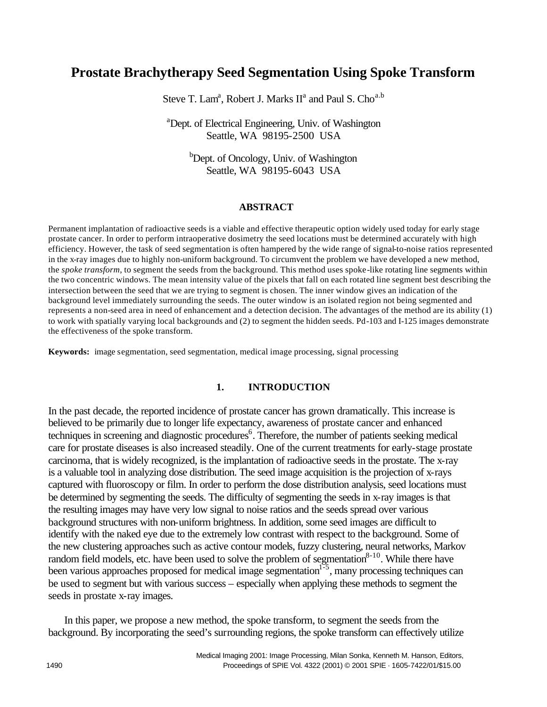# **Prostate Brachytherapy Seed Segmentation Using Spoke Transform**

Steve T. Lam<sup>a</sup>, Robert J. Marks II<sup>a</sup> and Paul S. Cho<sup>a.b</sup>

<sup>a</sup>Dept. of Electrical Engineering, Univ. of Washington Seattle, WA 98195-2500 USA

> <sup>b</sup>Dept. of Oncology, Univ. of Washington Seattle, WA 98195-6043 USA

### **ABSTRACT**

Permanent implantation of radioactive seeds is a viable and effective therapeutic option widely used today for early stage prostate cancer. In order to perform intraoperative dosimetry the seed locations must be determined accurately with high efficiency. However, the task of seed segmentation is often hampered by the wide range of signal-to-noise ratios represented in the x-ray images due to highly non-uniform background. To circumvent the problem we have developed a new method, the *spoke transform*, to segment the seeds from the background. This method uses spoke-like rotating line segments within the two concentric windows. The mean intensity value of the pixels that fall on each rotated line segment best describing the intersection between the seed that we are trying to segment is chosen. The inner window gives an indication of the background level immediately surrounding the seeds. The outer window is an isolated region not being segmented and represents a non-seed area in need of enhancement and a detection decision. The advantages of the method are its ability (1) to work with spatially varying local backgrounds and (2) to segment the hidden seeds. Pd-103 and I-125 images demonstrate the effectiveness of the spoke transform.

**Keywords:** image segmentation, seed segmentation, medical image processing, signal processing

## **1. INTRODUCTION**

In the past decade, the reported incidence of prostate cancer has grown dramatically. This increase is believed to be primarily due to longer life expectancy, awareness of prostate cancer and enhanced techniques in screening and diagnostic procedures<sup>6</sup>. Therefore, the number of patients seeking medical care for prostate diseases is also increased steadily. One of the current treatments for early-stage prostate carcinoma, that is widely recognized, is the implantation of radioactive seeds in the prostate. The x-ray is a valuable tool in analyzing dose distribution. The seed image acquisition is the projection of x-rays captured with fluoroscopy or film. In order to perform the dose distribution analysis, seed locations must be determined by segmenting the seeds. The difficulty of segmenting the seeds in x-ray images is that the resulting images may have very low signal to noise ratios and the seeds spread over various background structures with non-uniform brightness. In addition, some seed images are difficult to identify with the naked eye due to the extremely low contrast with respect to the background. Some of the new clustering approaches such as active contour models, fuzzy clustering, neural networks, Markov random field models, etc. have been used to solve the problem of segmentation $8-10$ . While there have been various approaches proposed for medical image segmentation<sup>1-5</sup>, many processing techniques can be used to segment but with various success – especially when applying these methods to segment the seeds in prostate x-ray images.

In this paper, we propose a new method, the spoke transform, to segment the seeds from the background. By incorporating the seed's surrounding regions, the spoke transform can effectively utilize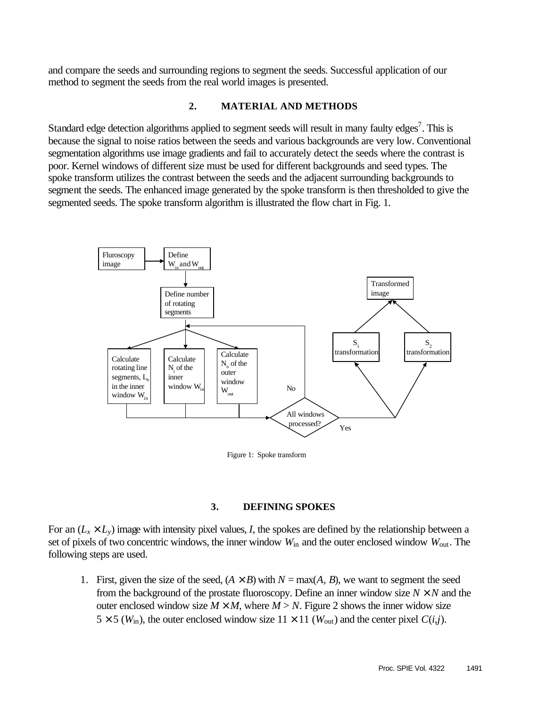and compare the seeds and surrounding regions to segment the seeds. Successful application of our method to segment the seeds from the real world images is presented.

## **2. MATERIAL AND METHODS**

Standard edge detection algorithms applied to segment seeds will result in many faulty edges<sup>7</sup>. This is because the signal to noise ratios between the seeds and various backgrounds are very low. Conventional segmentation algorithms use image gradients and fail to accurately detect the seeds where the contrast is poor. Kernel windows of different size must be used for different backgrounds and seed types. The spoke transform utilizes the contrast between the seeds and the adjacent surrounding backgrounds to segment the seeds. The enhanced image generated by the spoke transform is then thresholded to give the segmented seeds. The spoke transform algorithm is illustrated the flow chart in Fig. 1.



Figure 1: Spoke transform

## **3. DEFINING SPOKES**

For an  $(L_x \times L_y)$  image with intensity pixel values, *I*, the spokes are defined by the relationship between a set of pixels of two concentric windows, the inner window *W*in and the outer enclosed window *W*out. The following steps are used.

1. First, given the size of the seed,  $(A \times B)$  with  $N = max(A, B)$ , we want to segment the seed from the background of the prostate fluoroscopy. Define an inner window size  $N \times N$  and the outer enclosed window size  $M \times M$ , where  $M > N$ . Figure 2 shows the inner widow size  $5 \times 5$  (*W*<sub>in</sub>), the outer enclosed window size  $11 \times 11$  (*W*<sub>out</sub>) and the center pixel *C*(*i*,*j*).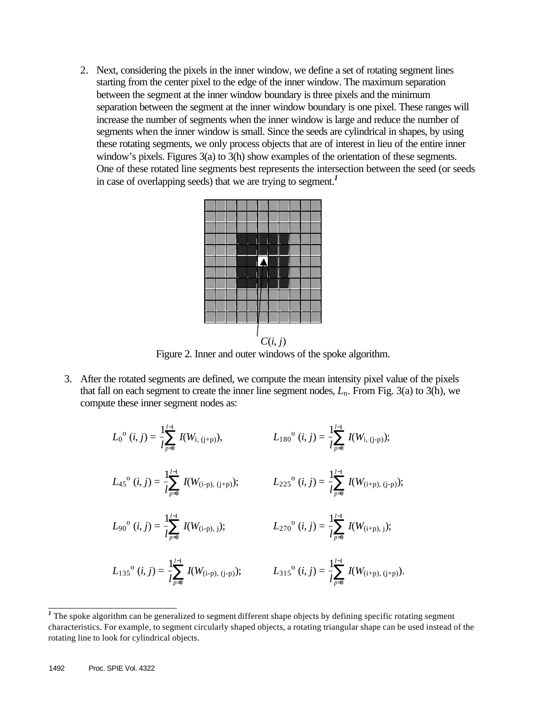2. Next, considering the pixels in the inner window, we define a set of rotating segment lines starting from the center pixel to the edge of the inner window. The maximum separation between the segment at the inner window boundary is three pixels and the minimum separation between the segment at the inner window boundary is one pixel. These ranges will increase the number of segments when the inner window is large and reduce the number of segments when the inner window is small. Since the seeds are cylindrical in shapes, by using these rotating segments, we only process objects that are of interest in lieu of the entire inner window's pixels. Figures 3(a) to 3(h) show examples of the orientation of these segments. One of these rotated line segments best represents the intersection between the seed (or seeds in case of overlapping seeds) that we are trying to segment.*<sup>1</sup>*



Figure 2. Inner and outer windows of the spoke algorithm.

3. After the rotated segments are defined, we compute the mean intensity pixel value of the pixels that fall on each segment to create the inner line segment nodes, *L*n. From Fig. 3(a) to 3(h), we compute these inner segment nodes as:

$$
L_{0}^{o}(i, j) = \frac{1}{l} \sum_{p=0}^{l-1} I(W_{i, (j+p)}),
$$
\n
$$
L_{180}^{o}(i, j) = \frac{1}{l} \sum_{p=0}^{l-1} I(W_{i, (j-p)});
$$
\n
$$
L_{225}^{o}(i, j) = \frac{1}{l} \sum_{p=0}^{l-1} I(W_{(i+p), (j-p)});
$$
\n
$$
L_{30}^{o}(i, j) = \frac{1}{l} \sum_{p=0}^{l-1} I(W_{(i-p), (j+1)});
$$
\n
$$
L_{45}^{o}(i, j) = \frac{1}{l} \sum_{p=0}^{l-1} I(W_{(i+p), j});
$$
\n
$$
L_{50}^{o}(i, j) = \frac{1}{l} \sum_{p=0}^{l-1} I(W_{(i+p), (j+1)});
$$
\n
$$
L_{50}^{o}(i, j) = \frac{1}{l} \sum_{p=0}^{l-1} I(W_{(i+p), (j+2)}).
$$
\n
$$
L_{50}^{o}(i, j) = \frac{1}{l} \sum_{p=0}^{l-1} I(W_{(i+p), (j+3)}).
$$

<sup>&</sup>lt;sup>1</sup> The spoke algorithm can be generalized to segment different shape objects by defining specific rotating segment characteristics. For example, to segment circularly shaped objects, a rotating triangular shape can be used instead of the rotating line to look for cylindrical objects.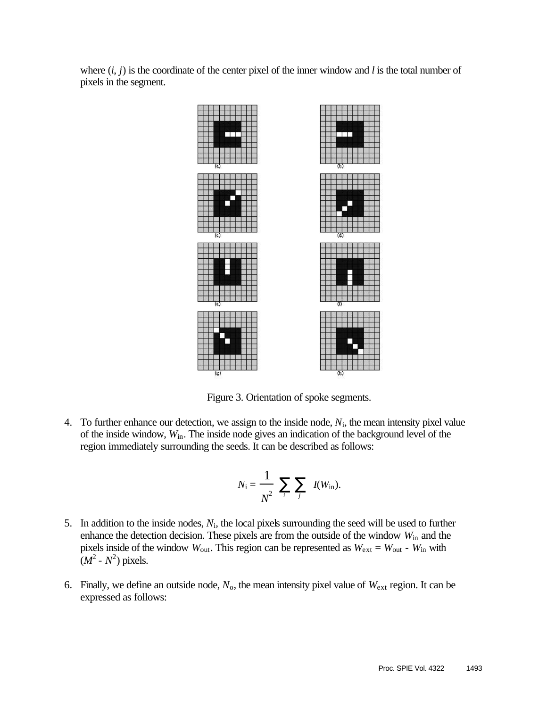where  $(i, j)$  is the coordinate of the center pixel of the inner window and  $l$  is the total number of pixels in the segment.



Figure 3. Orientation of spoke segments.

4. To further enhance our detection, we assign to the inside node, *N*i, the mean intensity pixel value of the inside window, *W*in. The inside node gives an indication of the background level of the region immediately surrounding the seeds. It can be described as follows:

$$
N_{\rm i}=\frac{1}{N^2}\sum_i\sum_j I(W_{\rm in}).
$$

- 5. In addition to the inside nodes, *N*i, the local pixels surrounding the seed will be used to further enhance the detection decision. These pixels are from the outside of the window  $W_{\text{in}}$  and the pixels inside of the window  $W_{\text{out}}$ . This region can be represented as  $W_{\text{ext}} = W_{\text{out}} - W_{\text{in}}$  with  $(M^2 - N^2)$  pixels.
- 6. Finally, we define an outside node,  $N<sub>o</sub>$ , the mean intensity pixel value of  $W<sub>ext</sub>$  region. It can be expressed as follows: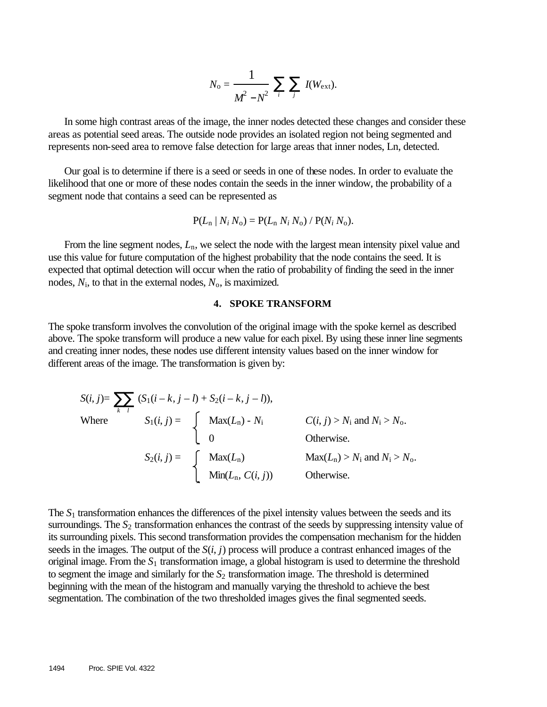$$
N_{\rm o} = \frac{1}{M^2 - N^2} \sum_{i} \sum_{j} I(W_{\rm ext}).
$$

In some high contrast areas of the image, the inner nodes detected these changes and consider these areas as potential seed areas. The outside node provides an isolated region not being segmented and represents non-seed area to remove false detection for large areas that inner nodes, Ln, detected.

Our goal is to determine if there is a seed or seeds in one of these nodes. In order to evaluate the likelihood that one or more of these nodes contain the seeds in the inner window, the probability of a segment node that contains a seed can be represented as

$$
P(L_n | N_i N_o) = P(L_n N_i N_o) / P(N_i N_o).
$$

From the line segment nodes,  $L_n$ , we select the node with the largest mean intensity pixel value and use this value for future computation of the highest probability that the node contains the seed. It is expected that optimal detection will occur when the ratio of probability of finding the seed in the inner nodes,  $N_i$ , to that in the external nodes,  $N_o$ , is maximized.

## **4. SPOKE TRANSFORM**

The spoke transform involves the convolution of the original image with the spoke kernel as described above. The spoke transform will produce a new value for each pixel. By using these inner line segments and creating inner nodes, these nodes use different intensity values based on the inner window for different areas of the image. The transformation is given by:

$$
S(i, j) = \sum_{k} \sum_{l} (S_1(i - k, j - l) + S_2(i - k, j - l)),
$$
  
\nWhere 
$$
S_1(i, j) = \begin{cases} \text{Max}(L_n) - N_i & C(i, j) > N_i \text{ and } N_i > N_0. \\ 0 & \text{Otherwise.} \end{cases}
$$

$$
S_2(i, j) = \begin{cases} \text{Max}(L_n) & \text{Max}(L_n) > N_i \text{ and } N_i > N_0. \\ \text{Min}(L_n, C(i, j)) & \text{Otherwise.} \end{cases}
$$

The  $S_1$  transformation enhances the differences of the pixel intensity values between the seeds and its surroundings. The  $S_2$  transformation enhances the contrast of the seeds by suppressing intensity value of its surrounding pixels. This second transformation provides the compensation mechanism for the hidden seeds in the images. The output of the *S*(*i*, *j*) process will produce a contrast enhanced images of the original image. From the *S*1 transformation image, a global histogram is used to determine the threshold to segment the image and similarly for the  $S_2$  transformation image. The threshold is determined beginning with the mean of the histogram and manually varying the threshold to achieve the best segmentation. The combination of the two thresholded images gives the final segmented seeds.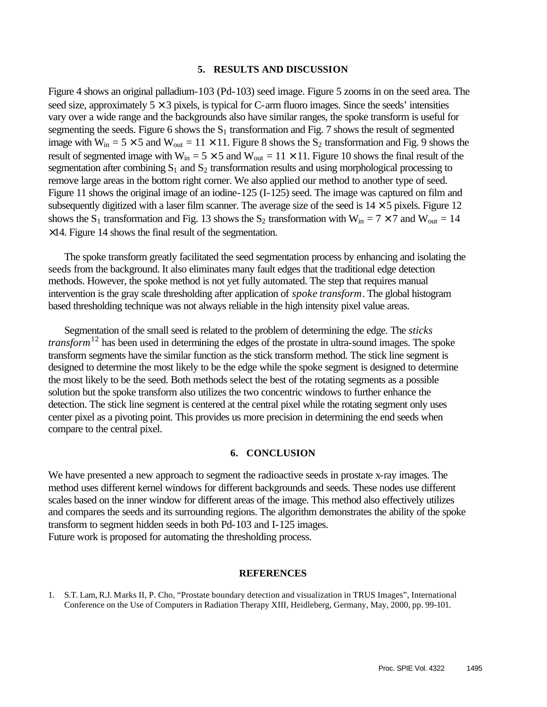## **5. RESULTS AND DISCUSSION**

Figure 4 shows an original palladium-103 (Pd-103) seed image. Figure 5 zooms in on the seed area. The seed size, approximately  $5 \times 3$  pixels, is typical for C-arm fluoro images. Since the seeds' intensities vary over a wide range and the backgrounds also have similar ranges, the spoke transform is useful for segmenting the seeds. Figure 6 shows the  $S_1$  transformation and Fig. 7 shows the result of segmented image with  $W_{in} = 5 \times 5$  and  $W_{out} = 11 \times 11$ . Figure 8 shows the  $S_2$  transformation and Fig. 9 shows the result of segmented image with  $W_{in} = 5 \times 5$  and  $W_{out} = 11 \times 11$ . Figure 10 shows the final result of the segmentation after combining  $S_1$  and  $S_2$  transformation results and using morphological processing to remove large areas in the bottom right corner. We also applied our method to another type of seed. Figure 11 shows the original image of an iodine-125 (I-125) seed. The image was captured on film and subsequently digitized with a laser film scanner. The average size of the seed is  $14 \times 5$  pixels. Figure 12 shows the S<sub>1</sub> transformation and Fig. 13 shows the S<sub>2</sub> transformation with W<sub>in</sub> =  $7 \times 7$  and W<sub>out</sub> = 14  $\times$ 14. Figure 14 shows the final result of the segmentation.

The spoke transform greatly facilitated the seed segmentation process by enhancing and isolating the seeds from the background. It also eliminates many fault edges that the traditional edge detection methods. However, the spoke method is not yet fully automated. The step that requires manual intervention is the gray scale thresholding after application of *spoke transform*. The global histogram based thresholding technique was not always reliable in the high intensity pixel value areas.

Segmentation of the small seed is related to the problem of determining the edge. The *sticks transform*<sup>12</sup> has been used in determining the edges of the prostate in ultra-sound images. The spoke transform segments have the similar function as the stick transform method. The stick line segment is designed to determine the most likely to be the edge while the spoke segment is designed to determine the most likely to be the seed. Both methods select the best of the rotating segments as a possible solution but the spoke transform also utilizes the two concentric windows to further enhance the detection. The stick line segment is centered at the central pixel while the rotating segment only uses center pixel as a pivoting point. This provides us more precision in determining the end seeds when compare to the central pixel.

## **6. CONCLUSION**

We have presented a new approach to segment the radioactive seeds in prostate x-ray images. The method uses different kernel windows for different backgrounds and seeds. These nodes use different scales based on the inner window for different areas of the image. This method also effectively utilizes and compares the seeds and its surrounding regions. The algorithm demonstrates the ability of the spoke transform to segment hidden seeds in both Pd-103 and I-125 images. Future work is proposed for automating the thresholding process.

#### **REFERENCES**

1. S.T. Lam, R.J. Marks II, P. Cho, "Prostate boundary detection and visualization in TRUS Images", International Conference on the Use of Computers in Radiation Therapy XIII, Heidleberg, Germany, May, 2000, pp. 99-101.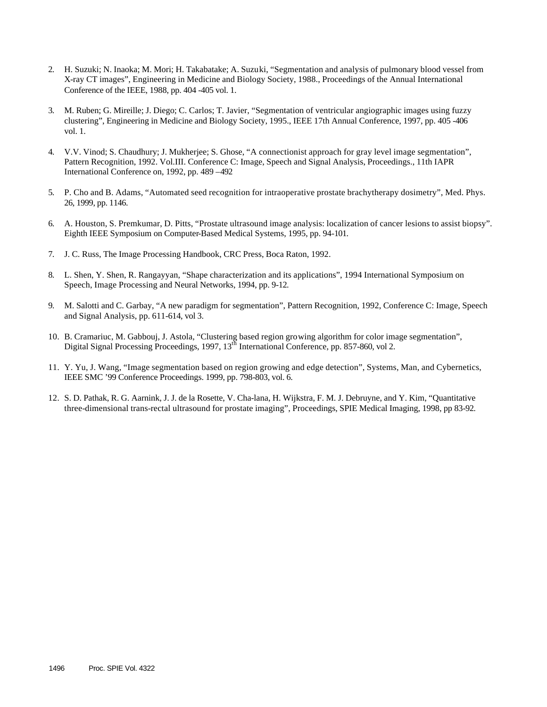- 2. H. Suzuki; N. Inaoka; M. Mori; H. Takabatake; A. Suzuki, "Segmentation and analysis of pulmonary blood vessel from X-ray CT images", Engineering in Medicine and Biology Society, 1988., Proceedings of the Annual International Conference of the IEEE, 1988, pp. 404 -405 vol. 1.
- 3. M. Ruben; G. Mireille; J. Diego; C. Carlos; T. Javier, "Segmentation of ventricular angiographic images using fuzzy clustering", Engineering in Medicine and Biology Society, 1995., IEEE 17th Annual Conference, 1997, pp. 405 -406 vol. 1.
- 4. V.V. Vinod; S. Chaudhury; J. Mukherjee; S. Ghose, "A connectionist approach for gray level image segmentation", Pattern Recognition, 1992. Vol.III. Conference C: Image, Speech and Signal Analysis, Proceedings., 11th IAPR International Conference on, 1992, pp. 489 –492
- 5. P. Cho and B. Adams, "Automated seed recognition for intraoperative prostate brachytherapy dosimetry", Med. Phys. 26, 1999, pp. 1146.
- 6. A. Houston, S. Premkumar, D. Pitts, "Prostate ultrasound image analysis: localization of cancer lesions to assist biopsy". Eighth IEEE Symposium on Computer-Based Medical Systems, 1995, pp. 94-101.
- 7. J. C. Russ, The Image Processing Handbook, CRC Press, Boca Raton, 1992.
- 8. L. Shen, Y. Shen, R. Rangayyan, "Shape characterization and its applications", 1994 International Symposium on Speech, Image Processing and Neural Networks, 1994, pp. 9-12.
- 9. M. Salotti and C. Garbay, "A new paradigm for segmentation", Pattern Recognition, 1992, Conference C: Image, Speech and Signal Analysis, pp. 611-614, vol 3.
- 10. B. Cramariuc, M. Gabbouj, J. Astola, "Clustering based region growing algorithm for color image segmentation", Digital Signal Processing Proceedings, 1997, 13<sup>th</sup> International Conference, pp. 857-860, vol 2.
- 11. Y. Yu, J. Wang, "Image segmentation based on region growing and edge detection", Systems, Man, and Cybernetics, IEEE SMC '99 Conference Proceedings. 1999, pp. 798-803, vol. 6.
- 12. S. D. Pathak, R. G. Aarnink, J. J. de la Rosette, V. Cha-lana, H. Wijkstra, F. M. J. Debruyne, and Y. Kim, "Quantitative three-dimensional trans-rectal ultrasound for prostate imaging", Proceedings, SPIE Medical Imaging, 1998, pp 83-92.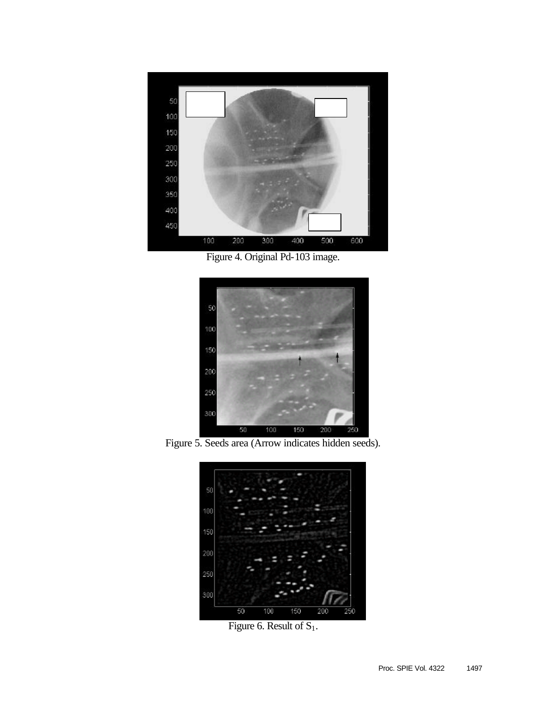

Figure 4. Original Pd-103 image.



Figure 5. Seeds area (Arrow indicates hidden seeds).



Figure 6. Result of  $S_1$ .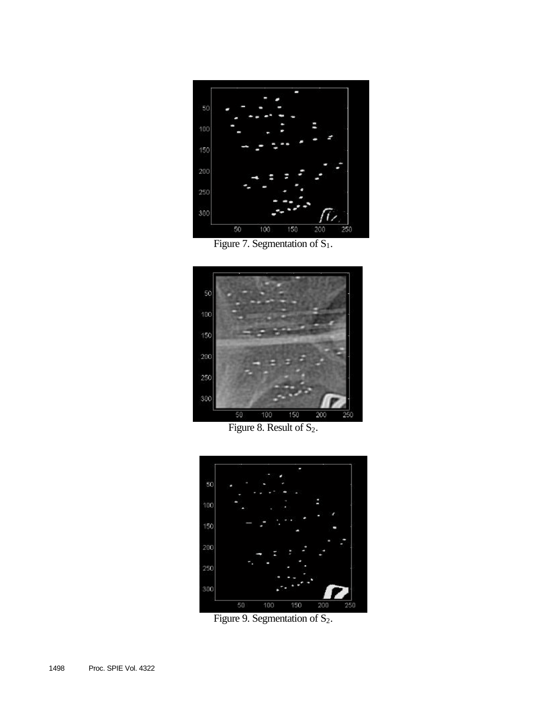

Figure 7. Segmentation of  $S_1$ .



Figure 8. Result of  $S_2$ .



Figure 9. Segmentation of S<sub>2</sub>.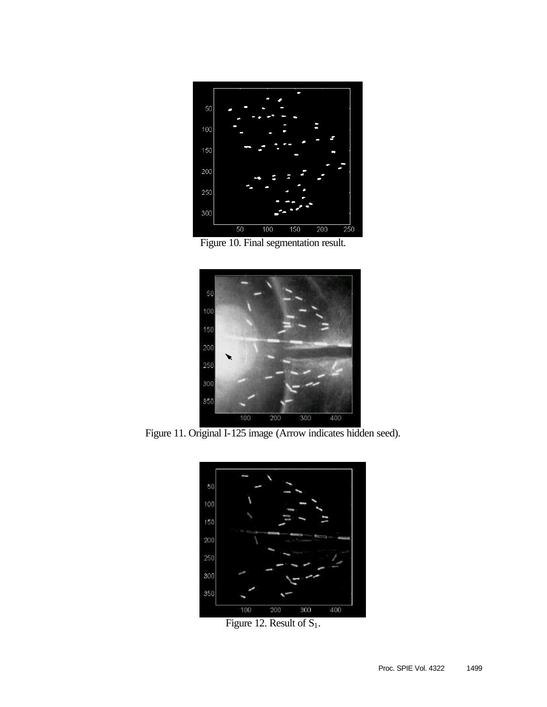

Figure 10. Final segmentation result.



Figure 11. Original I-125 image (Arrow indicates hidden seed).



Figure 12. Result of  $S_1$ .